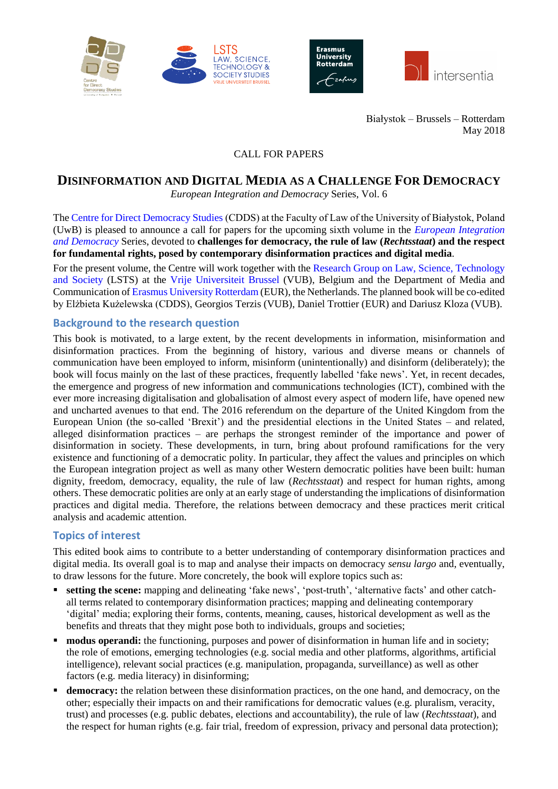





Białystok – Brussels – Rotterdam May 2018

#### CALL FOR PAPERS

# **DISINFORMATION AND DIGITAL MEDIA AS A CHALLENGE FOR DEMOCRACY**

*European Integration and Democracy* Series, Vol. 6

The [Centre for Direct Democracy Studies](http://www.prawo.uwb.edu.pl/cdds) (CDDS) at the Faculty of Law of the University of Białystok, Poland (UwB) is pleased to announce a call for papers for the upcoming sixth volume in the *[European Integration](http://intersentia.com/en/product/series/show/id/9256/)  [and Democracy](http://intersentia.com/en/product/series/show/id/9256/)* Series, devoted to **challenges for democracy, the rule of law (***Rechtsstaat***) and the respect for fundamental rights, posed by contemporary disinformation practices and digital media**.

For the present volume, the Centre will work together with the [Research Group on Law, Science, Technology](http://www.vub.ac.be/LSTS)  [and Society](http://www.vub.ac.be/LSTS) (LSTS) at the [Vrije Universiteit](http://www.vub.be/) Brussel (VUB), Belgium and the Department of Media and Communication of [Erasmus University Rotterdam](https://www.eur.nl/) (EUR), the Netherlands. The planned book will be co-edited by Elżbieta Kużelewska (CDDS), Georgios Terzis (VUB), Daniel Trottier (EUR) and Dariusz Kloza (VUB).

## **Background to the research question**

This book is motivated, to a large extent, by the recent developments in information, misinformation and disinformation practices. From the beginning of history, various and diverse means or channels of communication have been employed to inform, misinform (unintentionally) and disinform (deliberately); the book will focus mainly on the last of these practices, frequently labelled 'fake news'. Yet, in recent decades, the emergence and progress of new information and communications technologies (ICT), combined with the ever more increasing digitalisation and globalisation of almost every aspect of modern life, have opened new and uncharted avenues to that end. The 2016 referendum on the departure of the United Kingdom from the European Union (the so-called 'Brexit') and the presidential elections in the United States – and related, alleged disinformation practices – are perhaps the strongest reminder of the importance and power of disinformation in society. These developments, in turn, bring about profound ramifications for the very existence and functioning of a democratic polity. In particular, they affect the values and principles on which the European integration project as well as many other Western democratic polities have been built: human dignity, freedom, democracy, equality, the rule of law (*Rechtsstaat*) and respect for human rights, among others. These democratic polities are only at an early stage of understanding the implications of disinformation practices and digital media. Therefore, the relations between democracy and these practices merit critical analysis and academic attention.

## **Topics of interest**

This edited book aims to contribute to a better understanding of contemporary disinformation practices and digital media. Its overall goal is to map and analyse their impacts on democracy *sensu largo* and, eventually, to draw lessons for the future. More concretely, the book will explore topics such as:

- **setting the scene:** mapping and delineating 'fake news', 'post-truth', 'alternative facts' and other catchall terms related to contemporary disinformation practices; mapping and delineating contemporary 'digital' media; exploring their forms, contents, meaning, causes, historical development as well as the benefits and threats that they might pose both to individuals, groups and societies;
- **modus operandi:** the functioning, purposes and power of disinformation in human life and in society; the role of emotions, emerging technologies (e.g. social media and other platforms, algorithms, artificial intelligence), relevant social practices (e.g. manipulation, propaganda, surveillance) as well as other factors (e.g. media literacy) in disinforming;
- democracy: the relation between these disinformation practices, on the one hand, and democracy, on the other; especially their impacts on and their ramifications for democratic values (e.g. pluralism, veracity, trust) and processes (e.g. public debates, elections and accountability), the rule of law (*Rechtsstaat*), and the respect for human rights (e.g. fair trial, freedom of expression, privacy and personal data protection);